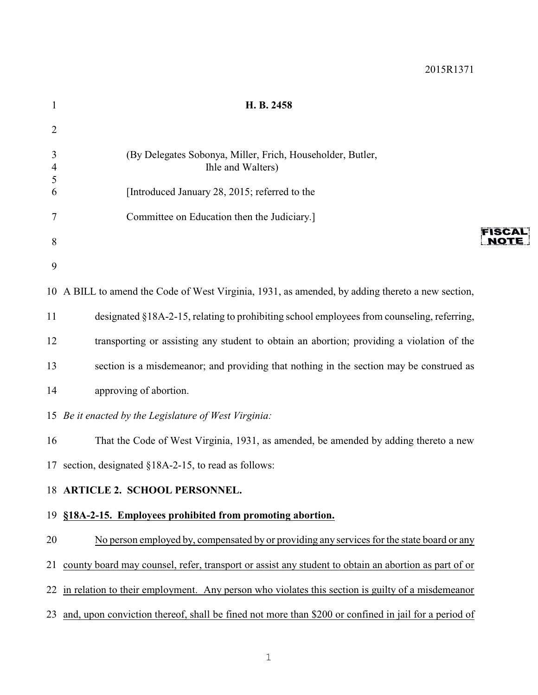| $\mathbf{1}$   | H. B. 2458                                                                                           |      |
|----------------|------------------------------------------------------------------------------------------------------|------|
| $\overline{2}$ |                                                                                                      |      |
| 3<br>4<br>5    | (By Delegates Sobonya, Miller, Frich, Householder, Butler,<br>Ihle and Walters)                      |      |
| 6              | [Introduced January 28, 2015; referred to the                                                        |      |
| 7              | Committee on Education then the Judiciary.]                                                          |      |
| 8              |                                                                                                      | NOTE |
| 9              |                                                                                                      |      |
|                | 10 A BILL to amend the Code of West Virginia, 1931, as amended, by adding thereto a new section,     |      |
| 11             | designated §18A-2-15, relating to prohibiting school employees from counseling, referring,           |      |
| 12             | transporting or assisting any student to obtain an abortion; providing a violation of the            |      |
| 13             | section is a misdemeanor; and providing that nothing in the section may be construed as              |      |
| 14             | approving of abortion.                                                                               |      |
|                | 15 Be it enacted by the Legislature of West Virginia:                                                |      |
| 16             | That the Code of West Virginia, 1931, as amended, be amended by adding thereto a new                 |      |
|                | 17 section, designated §18A-2-15, to read as follows:                                                |      |
|                | 18 ARTICLE 2. SCHOOL PERSONNEL.                                                                      |      |
|                | 19 §18A-2-15. Employees prohibited from promoting abortion.                                          |      |
| 20             | No person employed by, compensated by or providing any services for the state board or any           |      |
| 21             | county board may counsel, refer, transport or assist any student to obtain an abortion as part of or |      |
| 22             | in relation to their employment. Any person who violates this section is guilty of a misdemeanor     |      |
| 23             | and, upon conviction thereof, shall be fined not more than \$200 or confined in jail for a period of |      |
|                |                                                                                                      |      |